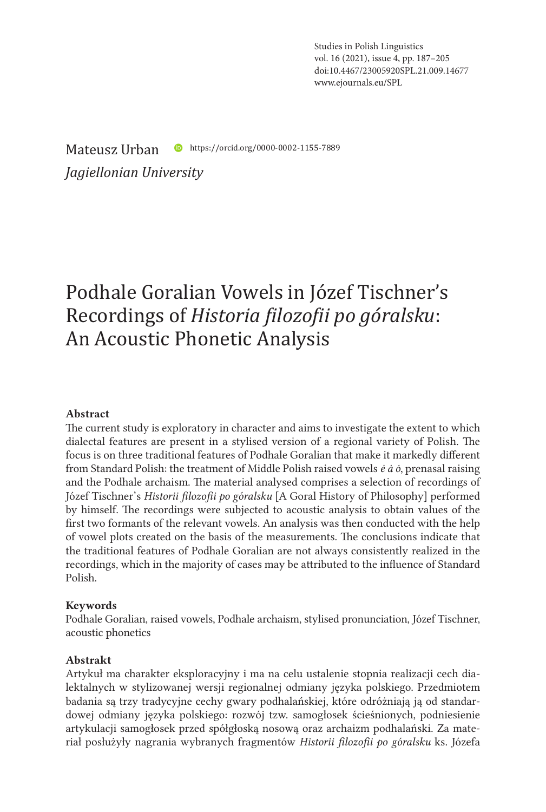Studies in Polish Linguistics vol. 16 (2021), issue 4, pp. 187–205 doi:10.4467/23005920SPL.21.009.14677 www.ejournals.eu/SPL

Mateusz Urban **C** https://orcid.org/0000-0002-1155-7889

*Jagiellonian University*

# Podhale Goralian Vowels in Józef Tischner's Recordings of *Historia filozofii po góralsku*: An Acoustic Phonetic Analysis

#### Abstract

The current study is exploratory in character and aims to investigate the extent to which dialectal features are present in a stylised version of a regional variety of Polish. The focus is on three traditional features of Podhale Goralian that make it markedly different from Standard Polish: the treatment of Middle Polish raised vowels *ė ȧ ȯ*, prenasal raising and the Podhale archaism. The material analysed comprises a selection of recordings of Józef Tischner's *Historii filozofii po góralsku* [A Goral History of Philosophy] performed by himself. The recordings were subjected to acoustic analysis to obtain values of the first two formants of the relevant vowels. An analysis was then conducted with the help of vowel plots created on the basis of the measurements. The conclusions indicate that the traditional features of Podhale Goralian are not always consistently realized in the recordings, which in the majority of cases may be attributed to the influence of Standard Polish.

#### Keywords

Podhale Goralian, raised vowels, Podhale archaism, stylised pronunciation, Józef Tischner, acoustic phonetics

#### Abstrakt

Artykuł ma charakter eksploracyjny i ma na celu ustalenie stopnia realizacji cech dialektalnych w stylizowanej wersji regionalnej odmiany języka polskiego. Przedmiotem badania są trzy tradycyjne cechy gwary podhalańskiej, które odróżniają ją od standardowej odmiany języka polskiego: rozwój tzw. samogłosek ścieśnionych, podniesienie artykulacji samogłosek przed spółgłoską nosową oraz archaizm podhalański. Za materiał posłużyły nagrania wybranych fragmentów *Historii filozofii po góralsku* ks. Józefa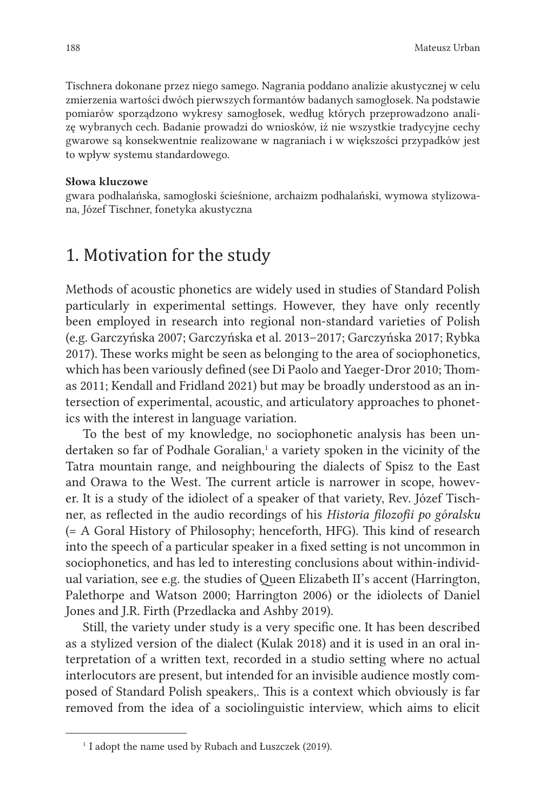Tischnera dokonane przez niego samego. Nagrania poddano analizie akustycznej w celu zmierzenia wartości dwóch pierwszych formantów badanych samogłosek. Na podstawie pomiarów sporządzono wykresy samogłosek, według których przeprowadzono analizę wybranych cech. Badanie prowadzi do wniosków, iż nie wszystkie tradycyjne cechy gwarowe są konsekwentnie realizowane w nagraniach i w większości przypadków jest to wpływ systemu standardowego.

#### Słowa kluczowe

gwara podhalańska, samogłoski ścieśnione, archaizm podhalański, wymowa stylizowana, Józef Tischner, fonetyka akustyczna

## 1. Motivation for the study

Methods of acoustic phonetics are widely used in studies of Standard Polish particularly in experimental settings. However, they have only recently been employed in research into regional non-standard varieties of Polish (e.g. Garczyńska 2007; Garczyńska et al. 2013–2017; Garczyńska 2017; Rybka 2017). These works might be seen as belonging to the area of sociophonetics, which has been variously defined (see Di Paolo and Yaeger-Dror 2010; Thomas 2011; Kendall and Fridland 2021) but may be broadly understood as an intersection of experimental, acoustic, and articulatory approaches to phonetics with the interest in language variation.

To the best of my knowledge, no sociophonetic analysis has been undertaken so far of Podhale Goralian,<sup>1</sup> a variety spoken in the vicinity of the Tatra mountain range, and neighbouring the dialects of Spisz to the East and Orawa to the West. The current article is narrower in scope, however. It is a study of the idiolect of a speaker of that variety, Rev. Józef Tischner, as reflected in the audio recordings of his *Historia filozofii po góralsku* (= A Goral History of Philosophy; henceforth, HFG). This kind of research into the speech of a particular speaker in a fixed setting is not uncommon in sociophonetics, and has led to interesting conclusions about within-individual variation, see e.g. the studies of Queen Elizabeth II's accent (Harrington, Palethorpe and Watson 2000; Harrington 2006) or the idiolects of Daniel Jones and J.R. Firth (Przedlacka and Ashby 2019).

Still, the variety under study is a very specific one. It has been described as a stylized version of the dialect (Kulak 2018) and it is used in an oral interpretation of a written text, recorded in a studio setting where no actual interlocutors are present, but intended for an invisible audience mostly composed of Standard Polish speakers,. This is a context which obviously is far removed from the idea of a sociolinguistic interview, which aims to elicit

<sup>&</sup>lt;sup>1</sup> I adopt the name used by Rubach and Łuszczek (2019).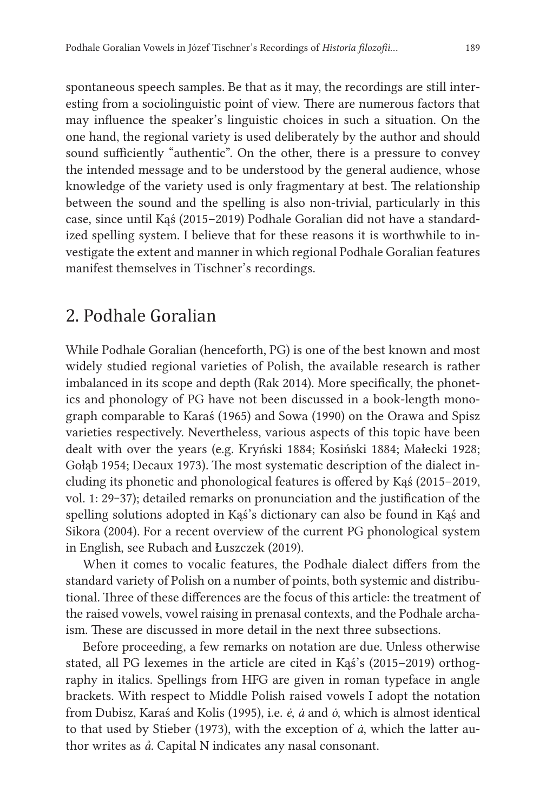spontaneous speech samples. Be that as it may, the recordings are still interesting from a sociolinguistic point of view. There are numerous factors that may influence the speaker's linguistic choices in such a situation. On the one hand, the regional variety is used deliberately by the author and should sound sufficiently "authentic". On the other, there is a pressure to convey the intended message and to be understood by the general audience, whose knowledge of the variety used is only fragmentary at best. The relationship between the sound and the spelling is also non-trivial, particularly in this case, since until Kąś (2015–2019) Podhale Goralian did not have a standardized spelling system. I believe that for these reasons it is worthwhile to investigate the extent and manner in which regional Podhale Goralian features manifest themselves in Tischner's recordings.

### 2. Podhale Goralian

While Podhale Goralian (henceforth, PG) is one of the best known and most widely studied regional varieties of Polish, the available research is rather imbalanced in its scope and depth (Rak 2014). More specifically, the phonetics and phonology of PG have not been discussed in a book-length monograph comparable to Karaś (1965) and Sowa (1990) on the Orawa and Spisz varieties respectively. Nevertheless, various aspects of this topic have been dealt with over the years (e.g. Kryński 1884; Kosiński 1884; Małecki 1928; Gołąb 1954; Decaux 1973). The most systematic description of the dialect including its phonetic and phonological features is offered by Kąś (2015–2019, vol. 1: 29-37); detailed remarks on pronunciation and the justification of the spelling solutions adopted in Kąś's dictionary can also be found in Kąś and Sikora (2004). For a recent overview of the current PG phonological system in English, see Rubach and Łuszczek (2019).

When it comes to vocalic features, the Podhale dialect differs from the standard variety of Polish on a number of points, both systemic and distributional. Three of these differences are the focus of this article: the treatment of the raised vowels, vowel raising in prenasal contexts, and the Podhale archaism. These are discussed in more detail in the next three subsections.

Before proceeding, a few remarks on notation are due. Unless otherwise stated, all PG lexemes in the article are cited in Kąś's (2015–2019) orthography in italics. Spellings from HFG are given in roman typeface in angle brackets. With respect to Middle Polish raised vowels I adopt the notation from Dubisz, Karaś and Kolis (1995), i.e. *ė*, *ȧ* and *ȯ*, which is almost identical to that used by Stieber (1973), with the exception of *ȧ*, which the latter author writes as *å*. Capital N indicates any nasal consonant.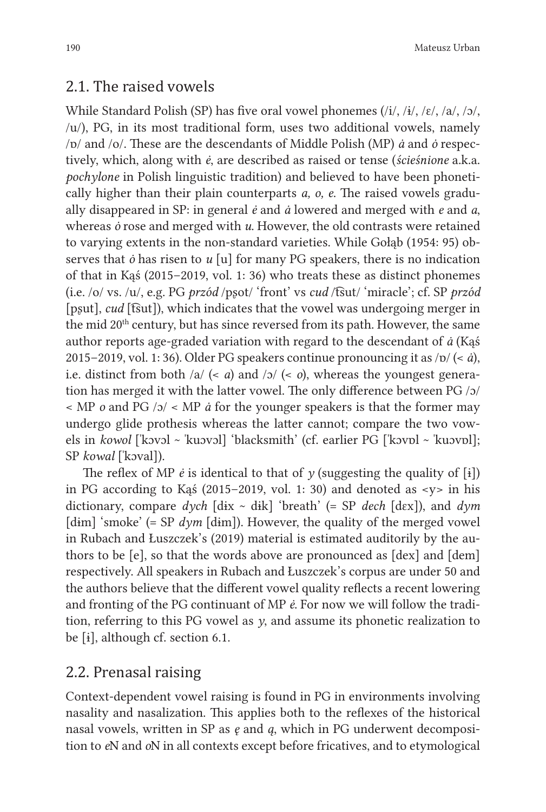#### 2.1. The raised vowels

While Standard Polish (SP) has five oral vowel phonemes  $(i/$ ,  $(i/$ ,  $(i/$ ,  $(\varepsilon/$ ,  $\alpha/$ ,  $/\alpha/$ , /u/), PG, in its most traditional form, uses two additional vowels, namely /ɒ/ and /o/. These are the descendants of Middle Polish (MP) *ȧ* and *ȯ* respectively, which, along with *ė*, are described as raised or tense (*ścieśnione* a.k.a. *pochylone* in Polish linguistic tradition) and believed to have been phonetically higher than their plain counterparts *a, o, e*. The raised vowels gradually disappeared in SP: in general *ė* and *ȧ* lowered and merged with *e* and *a*, whereas *ȯ* rose and merged with *u*. However, the old contrasts were retained to varying extents in the non-standard varieties. While Gołąb (1954: 95) observes that *ȯ* has risen to *u* [u] for many PG speakers, there is no indication of that in Kąś (2015–2019, vol. 1: 36) who treats these as distinct phonemes (i.e. /o/ vs. /u/, e.g. PG *przód* /pʂot/ 'front' vs *cud* /t͡sut/ 'miracle'; cf. SP *przód* [pʂut], *cud* [t͡sut]), which indicates that the vowel was undergoing merger in the mid 20<sup>th</sup> century, but has since reversed from its path. However, the same author reports age-graded variation with regard to the descendant of *ȧ* (Kąś 2015–2019, vol. 1: 36). Older PG speakers continue pronouncing it as  $/p / \langle \cdot | \dot{a} \rangle$ , i.e. distinct from both /a/ (< *a*) and /ɔ/ (< *o*), whereas the youngest generation has merged it with the latter vowel. The only difference between PG /ɔ/ < MP *o* and PG /ɔ/ < MP *ȧ* for the younger speakers is that the former may undergo glide prothesis whereas the latter cannot; compare the two vowels in *kowol* [ˈkɔvɔl ~ ˈkuɔvɔl] 'blacksmith' (cf. earlier PG [ˈkɔvɒl ~ ˈkuɔvɒl]; SP *kowal* [ˈkɔval]).

The reflex of MP  $\acute{e}$  is identical to that of  $\gamma$  (suggesting the quality of [i]) in PG according to Kas  $(2015-2019, \text{vol. } 1: 30)$  and denoted as  $\langle y \rangle$  in his dictionary, compare *dych* [dɨx ~ dɨk] 'breath' (= SP *dech* [dɛx]), and *dym* [dim] 'smoke' (= SP *dym* [dim]). However, the quality of the merged vowel in Rubach and Łuszczek's (2019) material is estimated auditorily by the authors to be [e], so that the words above are pronounced as [dex] and [dem] respectively. All speakers in Rubach and Łuszczek's corpus are under 50 and the authors believe that the different vowel quality reflects a recent lowering and fronting of the PG continuant of MP *ė*. For now we will follow the tradition, referring to this PG vowel as *y*, and assume its phonetic realization to be [ɨ], although cf. section 6.1.

#### 2.2. Prenasal raising

Context-dependent vowel raising is found in PG in environments involving nasality and nasalization. This applies both to the reflexes of the historical nasal vowels, written in SP as *ę* and *ą*, which in PG underwent decomposition to *e*N and *o*N in all contexts except before fricatives, and to etymological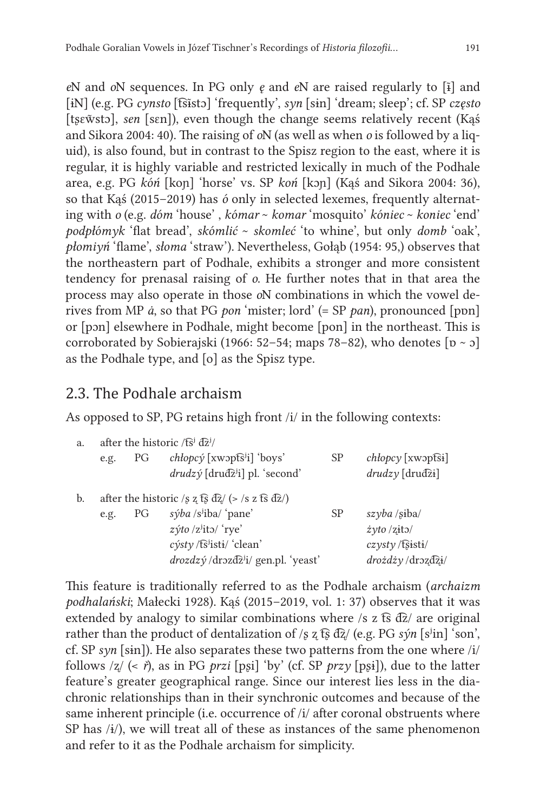*e*N and *o*N sequences. In PG only *ę* and *e*N are raised regularly to [ĩ] and [ɨN] (e.g. PG *cynsto* [t͡sĩstɔ] 'frequently', *syn* [sɨn] 'dream; sleep'; cf. SP *często* [tsɛw̃stɔ], sen [sɛn]), even though the change seems relatively recent (Kąś and Sikora 2004: 40). The raising of *o*N (as well as when *o* is followed by a liquid), is also found, but in contrast to the Spisz region to the east, where it is regular, it is highly variable and restricted lexically in much of the Podhale area, e.g. PG *kóń* [koɲ] 'horse' vs. SP *koń* [kɔɲ] (Kąś and Sikora 2004: 36), so that Kąś (2015–2019) has *ó* only in selected lexemes, frequently alternating with *o* (e.g. *dóm* 'house' , *kómar* ~ *komar* 'mosquito' *kóniec* ~ *koniec* 'end' *podpłómyk* 'flat bread', *skómlić* ~ *skomleć* 'to whine', but only *domb* 'oak', *płomiyń* 'flame', *słoma* 'straw'). Nevertheless, Gołąb (1954: 95,) observes that the northeastern part of Podhale, exhibits a stronger and more consistent tendency for prenasal raising of *o*. He further notes that in that area the process may also operate in those *o*N combinations in which the vowel derives from MP *ȧ*, so that PG *pon* 'mister; lord' (= SP *pan*), pronounced [pɒn] or [pɔn] elsewhere in Podhale, might become [pon] in the northeast. This is corroborated by Sobierajski (1966: 52–54; maps 78–82), who denotes  $[p \sim p]$ as the Podhale type, and [o] as the Spisz type.

### 2.3. The Podhale archaism

As opposed to SP, PG retains high front /i/ in the following contexts:

| a. | after the historic /t͡s <sup>i</sup> $d\overline{z}$ <sup><i>i</i></sup> /                           |    |                                                                                         |           |                                                                 |
|----|------------------------------------------------------------------------------------------------------|----|-----------------------------------------------------------------------------------------|-----------|-----------------------------------------------------------------|
|    | e.g.                                                                                                 | PG | $chlopc$ ý [xwɔpt͡sʲi] 'boys'<br>$drudz$ ý [drud $\bar{z}$ <sup>j</sup> i] pl. 'second' | <b>SP</b> | $chlopcv$ [xwɔpt͡si]<br>$drudz$ <sub>V</sub> [drud $\hat{z}$ i] |
| b. | after the historic /s z $\overline{ts}$ $\overline{dz}$ / (> /s z $\overline{ts}$ $\overline{dz}$ /) |    |                                                                                         |           |                                                                 |
|    | e.g.                                                                                                 | PG | $s$ ýba /s <sup>j</sup> iba/ 'pane'                                                     | SP        | $szyba$ /siba/                                                  |
|    |                                                                                                      |    | $z$ ýto /z <sup>j</sup> ito/ 'rye'                                                      |           | $\dot{z}$ yto /zito/                                            |
|    |                                                                                                      |    | $c\acute{y}sty$ /t͡sʲisti/ 'clean'                                                      |           | $czvstv$ /t͡sisti/                                              |
|    |                                                                                                      |    | $drozdz$ ý /drozd $\overline{z}$ <sup>j</sup> i/ gen.pl. 'yeast'                        |           | drozdzy/dr                                                      |

This feature is traditionally referred to as the Podhale archaism (*archaizm podhalański*; Małecki 1928). Kąś (2015–2019, vol. 1: 37) observes that it was extended by analogy to similar combinations where  $\frac{1}{s}$  z ts  $\frac{d}{dz}$  are original rather than the product of dentalization of  $\frac{1}{s}$  z  $\frac{1}{s}$   $\frac{d\bar{z}}{c}$  (e.g. PG  $\frac{s}{n}$  [s<sup>i</sup>in] 'son', cf. SP *syn* [sɨn]). He also separates these two patterns from the one where /i/ follows /ʐ/ (< *ř*), as in PG *przi* [pʂi] 'by' (cf. SP *przy* [pʂɨ]), due to the latter feature's greater geographical range. Since our interest lies less in the diachronic relationships than in their synchronic outcomes and because of the same inherent principle (i.e. occurrence of /i/ after coronal obstruents where SP has  $\langle i \rangle$ , we will treat all of these as instances of the same phenomenon and refer to it as the Podhale archaism for simplicity.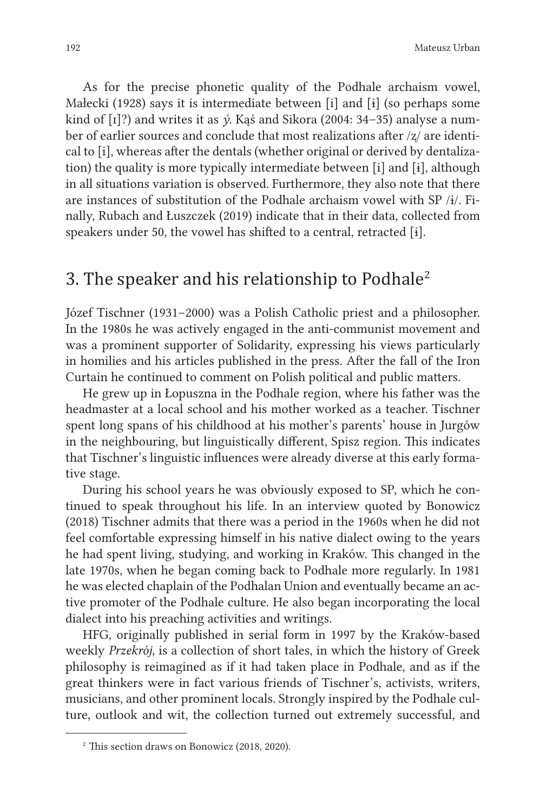As for the precise phonetic quality of the Podhale archaism vowel, Małecki (1928) says it is intermediate between [i] and [ɨ] (so perhaps some kind of [ɪ]?) and writes it as *ý*. Kąś and Sikora (2004: 34–35) analyse a number of earlier sources and conclude that most realizations after /ʐ/ are identical to [i], whereas after the dentals (whether original or derived by dentalization) the quality is more typically intermediate between [i] and [ɨ], although in all situations variation is observed. Furthermore, they also note that there are instances of substitution of the Podhale archaism vowel with SP /ɨ/. Finally, Rubach and Łuszczek (2019) indicate that in their data, collected from speakers under 50, the vowel has shifted to a central, retracted [ɨ].

# 3. The speaker and his relationship to Podhale2

Józef Tischner (1931–2000) was a Polish Catholic priest and a philosopher. In the 1980s he was actively engaged in the anti-communist movement and was a prominent supporter of Solidarity, expressing his views particularly in homilies and his articles published in the press. After the fall of the Iron Curtain he continued to comment on Polish political and public matters.

He grew up in Łopuszna in the Podhale region, where his father was the headmaster at a local school and his mother worked as a teacher. Tischner spent long spans of his childhood at his mother's parents' house in Jurgów in the neighbouring, but linguistically different, Spisz region. This indicates that Tischner's linguistic influences were already diverse at this early formative stage.

During his school years he was obviously exposed to SP, which he continued to speak throughout his life. In an interview quoted by Bonowicz (2018) Tischner admits that there was a period in the 1960s when he did not feel comfortable expressing himself in his native dialect owing to the years he had spent living, studying, and working in Kraków. This changed in the late 1970s, when he began coming back to Podhale more regularly. In 1981 he was elected chaplain of the Podhalan Union and eventually became an active promoter of the Podhale culture. He also began incorporating the local dialect into his preaching activities and writings.

HFG, originally published in serial form in 1997 by the Kraków-based weekly *Przekrój*, is a collection of short tales, in which the history of Greek philosophy is reimagined as if it had taken place in Podhale, and as if the great thinkers were in fact various friends of Tischner's, activists, writers, musicians, and other prominent locals. Strongly inspired by the Podhale culture, outlook and wit, the collection turned out extremely successful, and

<sup>2</sup> This section draws on Bonowicz (2018, 2020).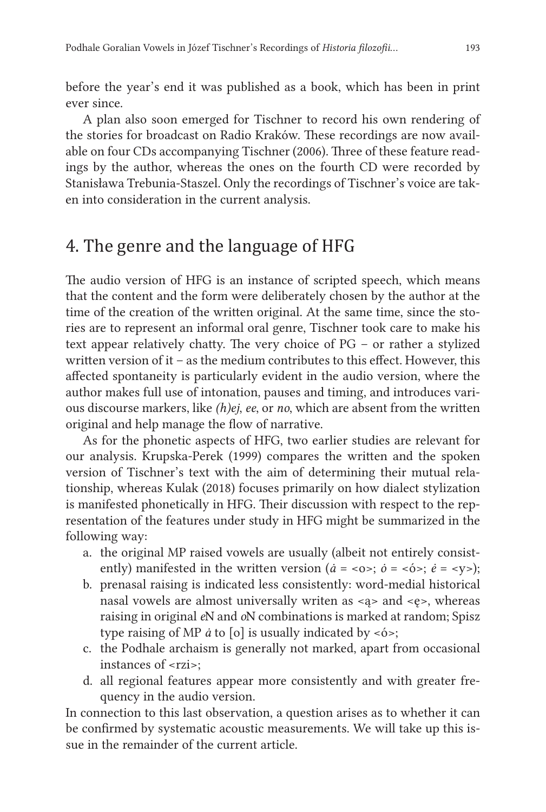before the year's end it was published as a book, which has been in print ever since.

A plan also soon emerged for Tischner to record his own rendering of the stories for broadcast on Radio Kraków. These recordings are now available on four CDs accompanying Tischner (2006). Three of these feature readings by the author, whereas the ones on the fourth CD were recorded by Stanisława Trebunia-Staszel. Only the recordings of Tischner's voice are taken into consideration in the current analysis.

# 4. The genre and the language of HFG

The audio version of HFG is an instance of scripted speech, which means that the content and the form were deliberately chosen by the author at the time of the creation of the written original. At the same time, since the stories are to represent an informal oral genre, Tischner took care to make his text appear relatively chatty. The very choice of PG – or rather a stylized written version of it – as the medium contributes to this effect. However, this affected spontaneity is particularly evident in the audio version, where the author makes full use of intonation, pauses and timing, and introduces various discourse markers, like *(h)ej*, *ee*, or *no*, which are absent from the written original and help manage the flow of narrative.

As for the phonetic aspects of HFG, two earlier studies are relevant for our analysis. Krupska-Perek (1999) compares the written and the spoken version of Tischner's text with the aim of determining their mutual relationship, whereas Kulak (2018) focuses primarily on how dialect stylization is manifested phonetically in HFG. Their discussion with respect to the representation of the features under study in HFG might be summarized in the following way:

- a. the original MP raised vowels are usually (albeit not entirely consistently) manifested in the written version ( $\dot{a} = \langle 0 \rangle$ ;  $\dot{b} = \langle 0 \rangle$ ;  $\dot{e} = \langle y \rangle$ );
- b. prenasal raising is indicated less consistently: word-medial historical nasal vowels are almost universally writen as <ą> and <ę>, whereas raising in original *e*N and *o*N combinations is marked at random; Spisz type raising of MP *å* to [o] is usually indicated by <*o*<sup>2</sup>;
- c. the Podhale archaism is generally not marked, apart from occasional instances of <rzi>:
- d. all regional features appear more consistently and with greater frequency in the audio version.

In connection to this last observation, a question arises as to whether it can be confirmed by systematic acoustic measurements. We will take up this issue in the remainder of the current article.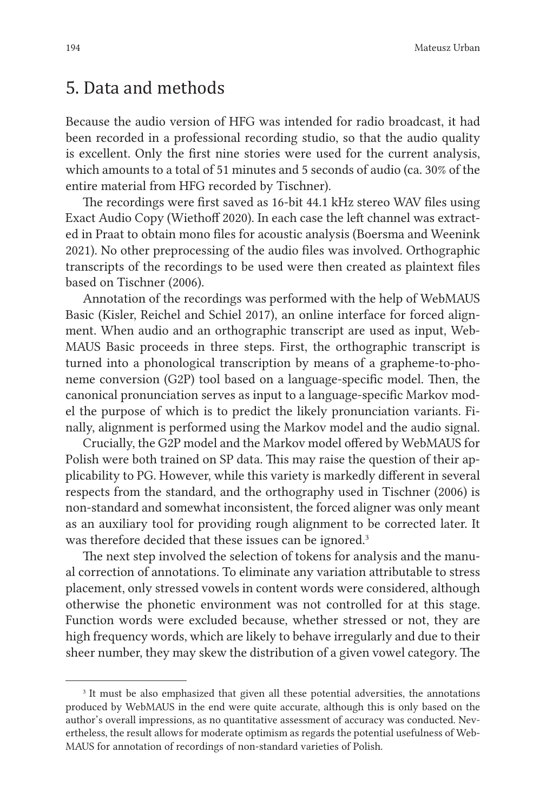### 5. Data and methods

Because the audio version of HFG was intended for radio broadcast, it had been recorded in a professional recording studio, so that the audio quality is excellent. Only the first nine stories were used for the current analysis, which amounts to a total of 51 minutes and 5 seconds of audio (ca. 30% of the entire material from HFG recorded by Tischner).

The recordings were first saved as 16-bit 44.1 kHz stereo WAV files using Exact Audio Copy (Wiethoff 2020). In each case the left channel was extracted in Praat to obtain mono files for acoustic analysis (Boersma and Weenink 2021). No other preprocessing of the audio files was involved. Orthographic transcripts of the recordings to be used were then created as plaintext files based on Tischner (2006).

Annotation of the recordings was performed with the help of WebMAUS Basic (Kisler, Reichel and Schiel 2017), an online interface for forced alignment. When audio and an orthographic transcript are used as input, Web-MAUS Basic proceeds in three steps. First, the orthographic transcript is turned into a phonological transcription by means of a grapheme-to-phoneme conversion (G2P) tool based on a language-specific model. Then, the canonical pronunciation serves as input to a language-specific Markov model the purpose of which is to predict the likely pronunciation variants. Finally, alignment is performed using the Markov model and the audio signal.

Crucially, the G2P model and the Markov model offered by WebMAUS for Polish were both trained on SP data. This may raise the question of their applicability to PG. However, while this variety is markedly different in several respects from the standard, and the orthography used in Tischner (2006) is non-standard and somewhat inconsistent, the forced aligner was only meant as an auxiliary tool for providing rough alignment to be corrected later. It was therefore decided that these issues can be ignored.<sup>3</sup>

The next step involved the selection of tokens for analysis and the manual correction of annotations. To eliminate any variation attributable to stress placement, only stressed vowels in content words were considered, although otherwise the phonetic environment was not controlled for at this stage. Function words were excluded because, whether stressed or not, they are high frequency words, which are likely to behave irregularly and due to their sheer number, they may skew the distribution of a given vowel category. The

<sup>&</sup>lt;sup>3</sup> It must be also emphasized that given all these potential adversities, the annotations produced by WebMAUS in the end were quite accurate, although this is only based on the author's overall impressions, as no quantitative assessment of accuracy was conducted. Nevertheless, the result allows for moderate optimism as regards the potential usefulness of Web-MAUS for annotation of recordings of non-standard varieties of Polish.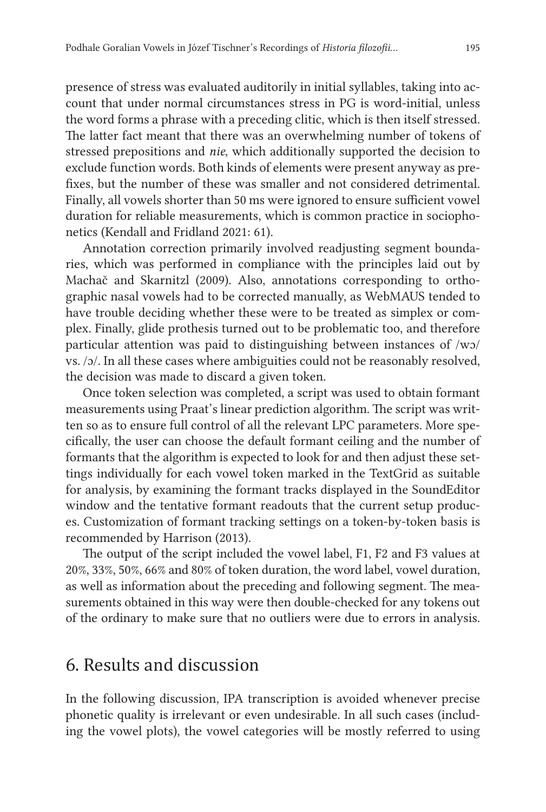presence of stress was evaluated auditorily in initial syllables, taking into account that under normal circumstances stress in PG is word-initial, unless the word forms a phrase with a preceding clitic, which is then itself stressed. The latter fact meant that there was an overwhelming number of tokens of stressed prepositions and *nie*, which additionally supported the decision to exclude function words. Both kinds of elements were present anyway as prefixes, but the number of these was smaller and not considered detrimental. Finally, all vowels shorter than 50 ms were ignored to ensure sufficient vowel duration for reliable measurements, which is common practice in sociophonetics (Kendall and Fridland 2021: 61).

Annotation correction primarily involved readjusting segment boundaries, which was performed in compliance with the principles laid out by Machač and Skarnitzl (2009). Also, annotations corresponding to orthographic nasal vowels had to be corrected manually, as WebMAUS tended to have trouble deciding whether these were to be treated as simplex or complex. Finally, glide prothesis turned out to be problematic too, and therefore particular attention was paid to distinguishing between instances of /wɔ/ vs. /ɔ/. In all these cases where ambiguities could not be reasonably resolved, the decision was made to discard a given token.

Once token selection was completed, a script was used to obtain formant measurements using Praat's linear prediction algorithm. The script was written so as to ensure full control of all the relevant LPC parameters. More specifically, the user can choose the default formant ceiling and the number of formants that the algorithm is expected to look for and then adjust these settings individually for each vowel token marked in the TextGrid as suitable for analysis, by examining the formant tracks displayed in the SoundEditor window and the tentative formant readouts that the current setup produces. Customization of formant tracking settings on a token-by-token basis is recommended by Harrison (2013).

The output of the script included the vowel label, F1, F2 and F3 values at 20%, 33%, 50%, 66% and 80% of token duration, the word label, vowel duration, as well as information about the preceding and following segment. The measurements obtained in this way were then double-checked for any tokens out of the ordinary to make sure that no outliers were due to errors in analysis.

## 6. Results and discussion

In the following discussion, IPA transcription is avoided whenever precise phonetic quality is irrelevant or even undesirable. In all such cases (including the vowel plots), the vowel categories will be mostly referred to using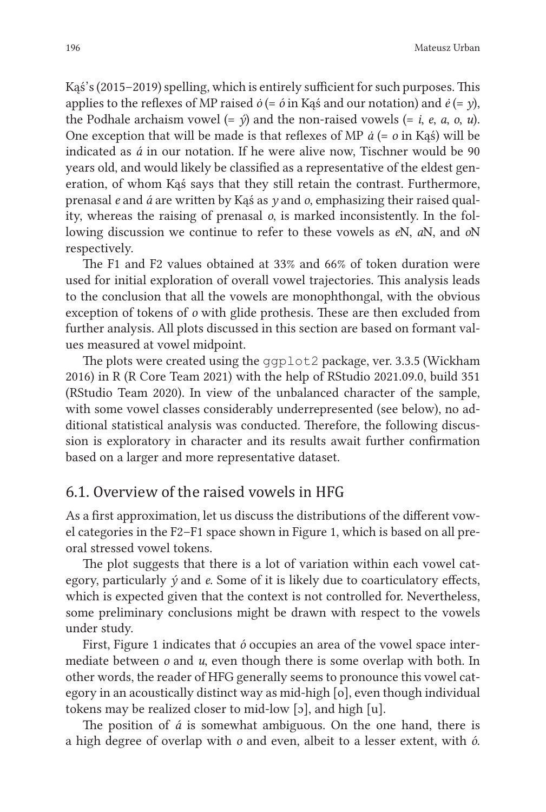Kąś's (2015–2019) spelling, which is entirely sufficient for such purposes. This applies to the reflexes of MP raised *ȯ* (= *ó* in Kąś and our notation) and *ė* (= *y*), the Podhale archaism vowel  $(=\hat{v})$  and the non-raised vowels  $(= i, e, a, o, u)$ . One exception that will be made is that reflexes of MP *ȧ* (= *o* in Kąś) will be indicated as *á* in our notation. If he were alive now, Tischner would be 90 years old, and would likely be classified as a representative of the eldest generation, of whom Kąś says that they still retain the contrast. Furthermore, prenasal *e* and *á* are written by Kąś as *y* and *o*, emphasizing their raised quality, whereas the raising of prenasal *o*, is marked inconsistently. In the following discussion we continue to refer to these vowels as *e*N, *a*N, and *o*N respectively.

The F1 and F2 values obtained at 33% and 66% of token duration were used for initial exploration of overall vowel trajectories. This analysis leads to the conclusion that all the vowels are monophthongal, with the obvious exception of tokens of *o* with glide prothesis. These are then excluded from further analysis. All plots discussed in this section are based on formant values measured at vowel midpoint.

The plots were created using the ggplot2 package, ver. 3.3.5 (Wickham 2016) in R (R Core Team 2021) with the help of RStudio 2021.09.0, build 351 (RStudio Team 2020). In view of the unbalanced character of the sample, with some vowel classes considerably underrepresented (see below), no additional statistical analysis was conducted. Therefore, the following discussion is exploratory in character and its results await further confirmation based on a larger and more representative dataset.

#### 6.1. Overview of the raised vowels in HFG

As a first approximation, let us discuss the distributions of the different vowel categories in the F2–F1 space shown in Figure 1, which is based on all preoral stressed vowel tokens.

The plot suggests that there is a lot of variation within each vowel category, particularly *ý* and *e*. Some of it is likely due to coarticulatory effects, which is expected given that the context is not controlled for. Nevertheless, some preliminary conclusions might be drawn with respect to the vowels under study.

First, Figure 1 indicates that *ó* occupies an area of the vowel space intermediate between *o* and *u*, even though there is some overlap with both. In other words, the reader of HFG generally seems to pronounce this vowel category in an acoustically distinct way as mid-high [o], even though individual tokens may be realized closer to mid-low [ɔ], and high [u].

The position of *á* is somewhat ambiguous. On the one hand, there is a high degree of overlap with *o* and even, albeit to a lesser extent, with *ó*.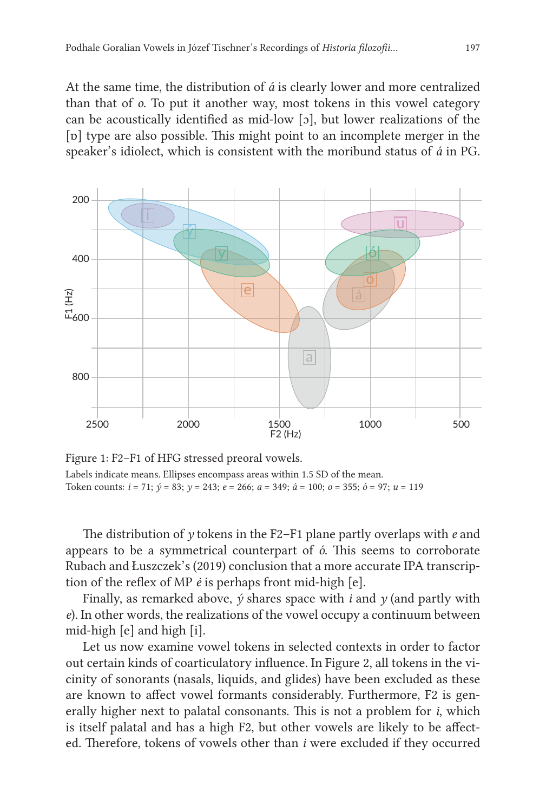At the same time, the distribution of *á* is clearly lower and more centralized than that of *o*. To put it another way, most tokens in this vowel category can be acoustically identified as mid-low [ɔ], but lower realizations of the [ɒ] type are also possible. This might point to an incomplete merger in the speaker's idiolect, which is consistent with the moribund status of *á* in PG.



Figure 1: F2–F1 of HFG stressed preoral vowels. Labels indicate means. Ellipses encompass areas within 1.5 SD of the mean. Token counts: *i* = 71; *ý* = 83; *y* = 243; *e* = 266; *a* = 349; *á* = 100; *o* = 355; *ó* = 97; *u* = 119

The distribution of *y* tokens in the F2–F1 plane partly overlaps with *e* and appears to be a symmetrical counterpart of *ó*. This seems to corroborate Rubach and Łuszczek's (2019) conclusion that a more accurate IPA transcription of the reflex of MP *ė* is perhaps front mid-high [e].

Finally, as remarked above, *ý* shares space with *i* and *y* (and partly with *e*). In other words, the realizations of the vowel occupy a continuum between mid-high [e] and high [i].

Let us now examine vowel tokens in selected contexts in order to factor out certain kinds of coarticulatory influence. In Figure 2, all tokens in the vicinity of sonorants (nasals, liquids, and glides) have been excluded as these are known to affect vowel formants considerably. Furthermore, F2 is generally higher next to palatal consonants. This is not a problem for *i*, which is itself palatal and has a high F2, but other vowels are likely to be affected. Therefore, tokens of vowels other than *i* were excluded if they occurred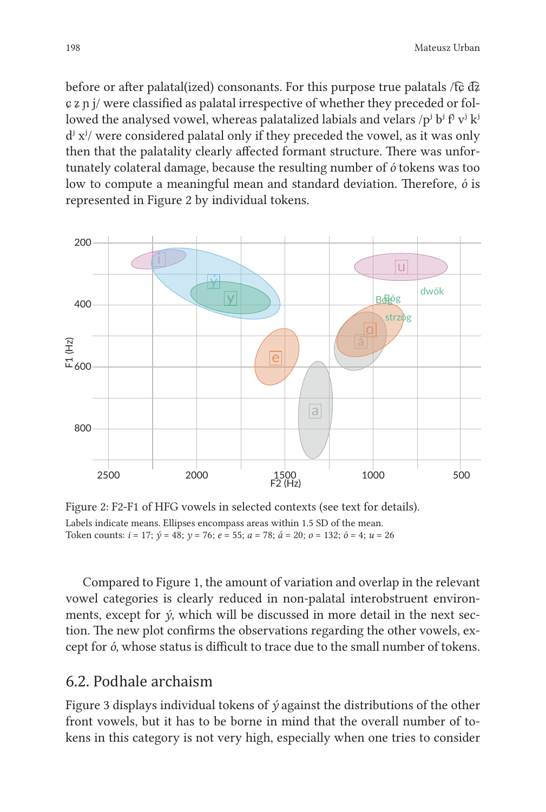before or after palatal(ized) consonants. For this purpose true palatals /t͡ɕ d͡ʑ  $\mathfrak{c}$   $\mathfrak{z}$   $\mathfrak{p}$  i/ were classified as palatal irrespective of whether they preceded or followed the analysed vowel, whereas palatalized labials and velars  $/p^{j} b^{j} f^{j} v^{j} k^{j}$  $d^{j}$  x<sup>*i*</sup>/ were considered palatal only if they preceded the vowel, as it was only then that the palatality clearly affected formant structure. There was unfortunately colateral damage, because the resulting number of *ó* tokens was too low to compute a meaningful mean and standard deviation. Therefore, *ó* is represented in Figure 2 by individual tokens.



Figure 2: F2-F1 of HFG vowels in selected contexts (see text for details). Labels indicate means. Ellipses encompass areas within 1.5 SD of the mean. Token counts: *i* = 17; *ý* = 48; *y* = 76; *e* = 55; *a* = 78; *á* = 20; *o* = 132; *ó* = 4; *u* = 26

Compared to Figure 1, the amount of variation and overlap in the relevant vowel categories is clearly reduced in non-palatal interobstruent environments, except for *ý*, which will be discussed in more detail in the next section. The new plot confirms the observations regarding the other vowels, except for *ó*, whose status is difficult to trace due to the small number of tokens.

#### 6.2. Podhale archaism

Figure 3 displays individual tokens of *ý* against the distributions of the other front vowels, but it has to be borne in mind that the overall number of tokens in this category is not very high, especially when one tries to consider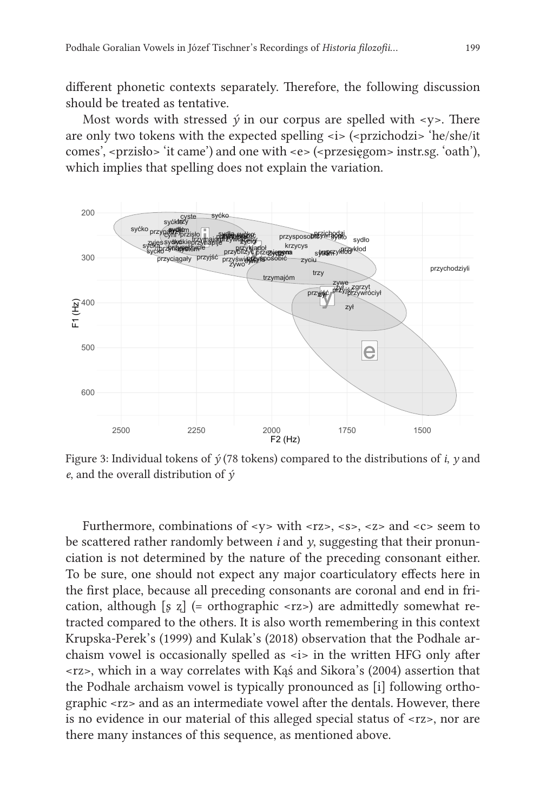different phonetic contexts separately. Therefore, the following discussion should be treated as tentative.

Most words with stressed  $\acute{\nu}$  in our corpus are spelled with  $\langle \nu \rangle$ . There are only two tokens with the expected spelling  $\langle i \rangle$  ( $\langle$ przichodzi $\rangle$  'he/she/it comes', <przisło> 'it came') and one with <e> (<przesięgom> instr.sg. 'oath'), which implies that spelling does not explain the variation.



Figure 3: Individual tokens of *ý* (78 tokens) compared to the distributions of *i*, *y* and *e*, and the overall distribution of *ý*

Furthermore, combinations of  $\langle y \rangle$  with  $\langle r \rangle \langle s \rangle$ ,  $\langle s \rangle \langle s \rangle$  and  $\langle c \rangle$  seem to be scattered rather randomly between *i* and *y*, suggesting that their pronunciation is not determined by the nature of the preceding consonant either. To be sure, one should not expect any major coarticulatory effects here in the first place, because all preceding consonants are coronal and end in frication, although [ʂ ʐ] (= orthographic <rz>) are admittedly somewhat retracted compared to the others. It is also worth remembering in this context Krupska-Perek's (1999) and Kulak's (2018) observation that the Podhale archaism vowel is occasionally spelled as <i> in the written HFG only after <rz>, which in a way correlates with Kąś and Sikora's (2004) assertion that the Podhale archaism vowel is typically pronounced as [i] following orthographic <rz> and as an intermediate vowel after the dentals. However, there is no evidence in our material of this alleged special status of <rz>, nor are there many instances of this sequence, as mentioned above.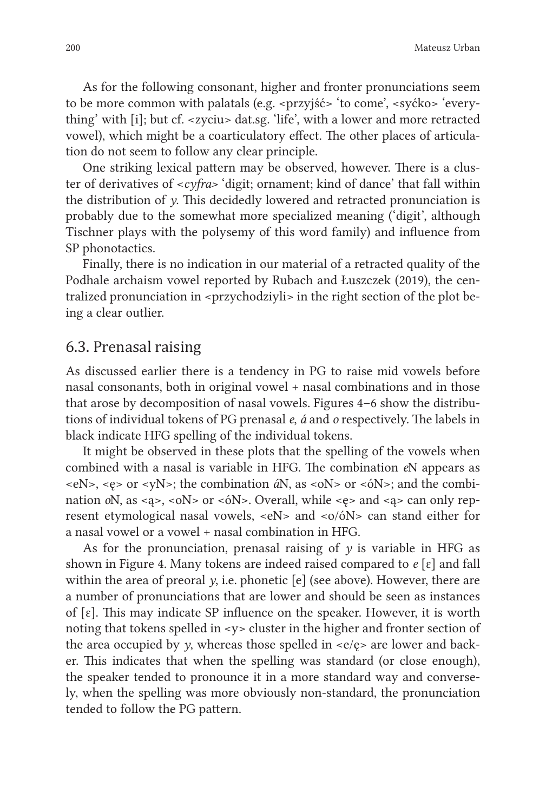As for the following consonant, higher and fronter pronunciations seem to be more common with palatals (e.g. <przyjść> 'to come', <syćko> 'everything' with [i]; but cf. <zyciu> dat.sg. 'life', with a lower and more retracted vowel), which might be a coarticulatory effect. The other places of articulation do not seem to follow any clear principle.

One striking lexical pattern may be observed, however. There is a cluster of derivatives of <*cyfra>* 'digit; ornament; kind of dance' that fall within the distribution of *y*. This decidedly lowered and retracted pronunciation is probably due to the somewhat more specialized meaning ('digit', although Tischner plays with the polysemy of this word family) and influence from SP phonotactics.

Finally, there is no indication in our material of a retracted quality of the Podhale archaism vowel reported by Rubach and Łuszczek (2019), the centralized pronunciation in <przychodziyli> in the right section of the plot being a clear outlier.

#### 6.3. Prenasal raising

As discussed earlier there is a tendency in PG to raise mid vowels before nasal consonants, both in original vowel + nasal combinations and in those that arose by decomposition of nasal vowels. Figures 4–6 show the distributions of individual tokens of PG prenasal *e*, *á* and *o* respectively. The labels in black indicate HFG spelling of the individual tokens.

It might be observed in these plots that the spelling of the vowels when combined with a nasal is variable in HFG. The combination *e*N appears as <eN>, <ę> or <yN>; the combination *á*N, as <oN> or <óN>; and the combination *o*N, as <ą>, <oN> or <óN>. Overall, while <ę> and <ą> can only represent etymological nasal vowels,  $\langle eN \rangle$  and  $\langle o/\delta N \rangle$  can stand either for a nasal vowel or a vowel + nasal combination in HFG.

As for the pronunciation, prenasal raising of  $\nu$  is variable in HFG as shown in Figure 4. Many tokens are indeed raised compared to *e* [ɛ] and fall within the area of preoral *y*, i.e. phonetic [e] (see above). However, there are a number of pronunciations that are lower and should be seen as instances of  $[\epsilon]$ . This may indicate SP influence on the speaker. However, it is worth noting that tokens spelled in  $-y$  cluster in the higher and fronter section of the area occupied by  $\gamma$ , whereas those spelled in  $\langle e \rangle$  are lower and backer. This indicates that when the spelling was standard (or close enough), the speaker tended to pronounce it in a more standard way and conversely, when the spelling was more obviously non-standard, the pronunciation tended to follow the PG pattern.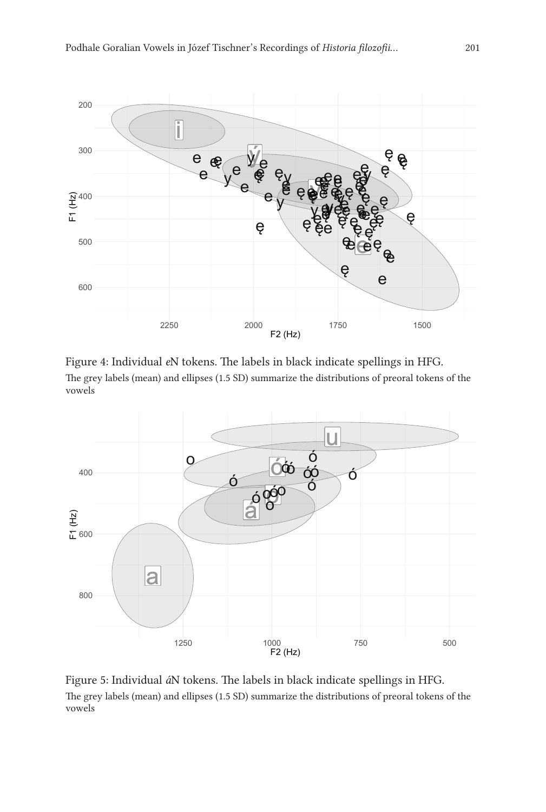

Figure 4: Individual *e*N tokens. The labels in black indicate spellings in HFG. The grey labels (mean) and ellipses (1.5 SD) summarize the distributions of preoral tokens of the vowels



Figure 5: Individual *á*N tokens. The labels in black indicate spellings in HFG. The grey labels (mean) and ellipses (1.5 SD) summarize the distributions of preoral tokens of the vowels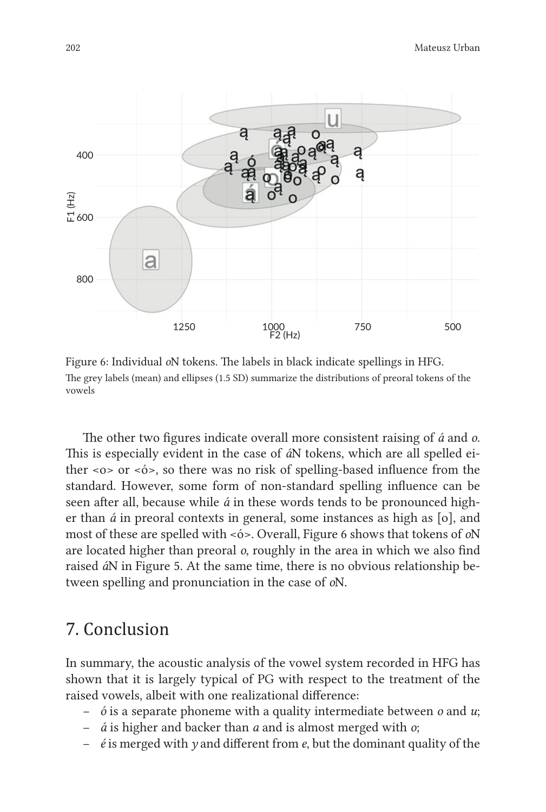

Figure 6: Individual *o*N tokens. The labels in black indicate spellings in HFG. The grey labels (mean) and ellipses (1.5 SD) summarize the distributions of preoral tokens of the vowels

The other two figures indicate overall more consistent raising of *á* and *o*. This is especially evident in the case of *á*N tokens, which are all spelled either <o> or <ó>, so there was no risk of spelling-based influence from the standard. However, some form of non-standard spelling influence can be seen after all, because while *á* in these words tends to be pronounced higher than *á* in preoral contexts in general, some instances as high as [o], and most of these are spelled with <ó>. Overall, Figure 6 shows that tokens of *o*N are located higher than preoral *o*, roughly in the area in which we also find raised *á*N in Figure 5. At the same time, there is no obvious relationship between spelling and pronunciation in the case of *o*N.

# 7. Conclusion

In summary, the acoustic analysis of the vowel system recorded in HFG has shown that it is largely typical of PG with respect to the treatment of the raised vowels, albeit with one realizational difference:

- *ó* is a separate phoneme with a quality intermediate between *o* and *u*;
- *á* is higher and backer than *a* and is almost merged with *o*;
- *é* is merged with *y* and different from *e*, but the dominant quality of the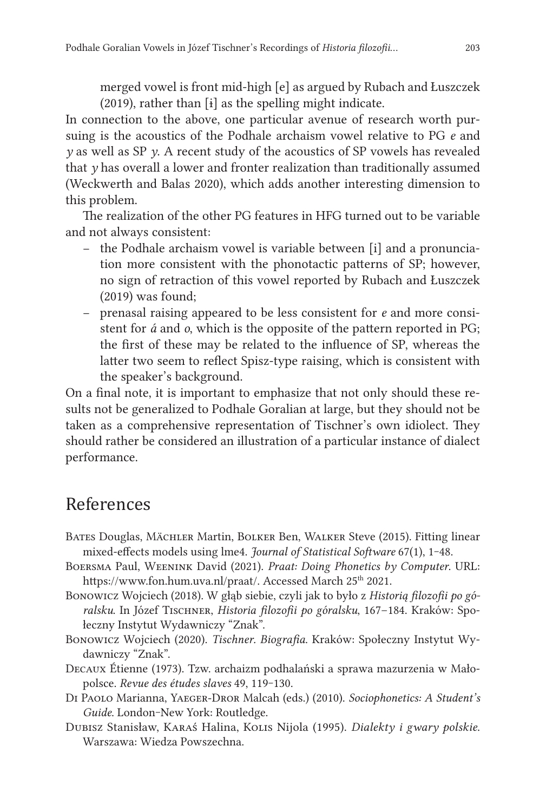merged vowel is front mid-high [e] as argued by Rubach and Łuszczek (2019), rather than [ɨ] as the spelling might indicate.

In connection to the above, one particular avenue of research worth pursuing is the acoustics of the Podhale archaism vowel relative to PG *e* and *y* as well as SP *y*. A recent study of the acoustics of SP vowels has revealed that *y* has overall a lower and fronter realization than traditionally assumed (Weckwerth and Balas 2020), which adds another interesting dimension to this problem.

The realization of the other PG features in HFG turned out to be variable and not always consistent:

- the Podhale archaism vowel is variable between [i] and a pronunciation more consistent with the phonotactic patterns of SP; however, no sign of retraction of this vowel reported by Rubach and Łuszczek (2019) was found;
- prenasal raising appeared to be less consistent for *e* and more consistent for *á* and *o*, which is the opposite of the pattern reported in PG; the first of these may be related to the influence of SP, whereas the latter two seem to reflect Spisz-type raising, which is consistent with the speaker's background.

On a final note, it is important to emphasize that not only should these results not be generalized to Podhale Goralian at large, but they should not be taken as a comprehensive representation of Tischner's own idiolect. They should rather be considered an illustration of a particular instance of dialect performance.

# References

- BATES Douglas, MÄCHLER Martin, BOLKER Ben, WALKER Steve (2015). Fitting linear mixed-effects models using lme4. *Journal of Statistical Software* 67(1), 1‒48.
- Boersma Paul, Weenink David (2021). *Praat: Doing Phonetics by Computer*. URL: https://www.fon.hum.uva.nl/praat/. Accessed March 25<sup>th</sup> 2021.
- Bonowicz Wojciech (2018). W głąb siebie, czyli jak to było z *Historią filozofii po góralsku*. In Józef Tischner, *Historia filozofii po góralsku*, 167–184. Kraków: Społeczny Instytut Wydawniczy "Znak".
- Bonowicz Wojciech (2020). *Tischner. Biografia*. Kraków: Społeczny Instytut Wydawniczy "Znak".
- Decaux Étienne (1973). Tzw. archaizm podhalański a sprawa mazurzenia w Małopolsce. *Revue des études slaves* 49, 119‒130.
- Di Paolo Marianna, Yaeger-Dror Malcah (eds.) (2010). *Sociophonetics: A Student's*  Guide. London-New York: Routledge.
- Dubisz Stanisław, Karaś Halina, Kolis Nijola (1995). *Dialekty i gwary polskie*. Warszawa: Wiedza Powszechna.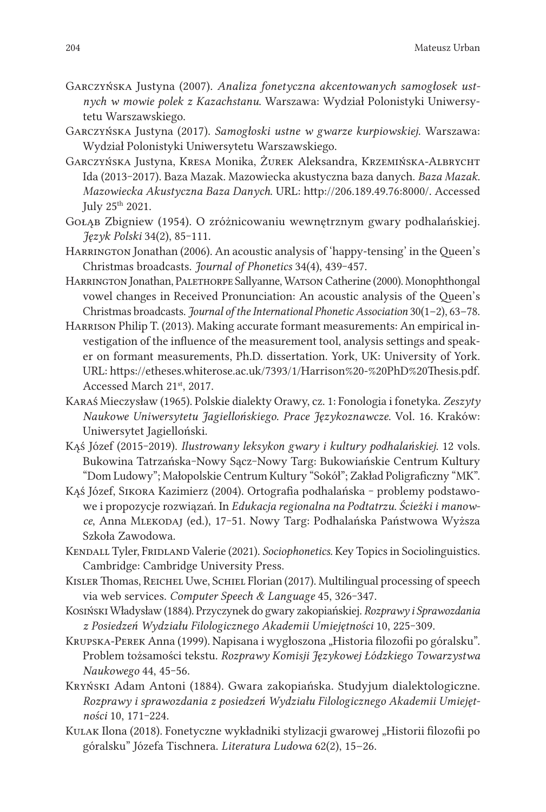- Garczyńska Justyna (2007). *Analiza fonetyczna akcentowanych samogłosek ustnych w mowie polek z Kazachstanu*. Warszawa: Wydział Polonistyki Uniwersytetu Warszawskiego.
- Garczyńska Justyna (2017). *Samogłoski ustne w gwarze kurpiowskiej*. Warszawa: Wydział Polonistyki Uniwersytetu Warszawskiego.
- Garczyńska Justyna, Kresa Monika, Żurek Aleksandra, Krzemińska-Albrycht Ida (2013‒2017). Baza Mazak. Mazowiecka akustyczna baza danych. *Baza Mazak. Mazowiecka Akustyczna Baza Danych*. URL: http://206.189.49.76:8000/. Accessed July 25th 2021.
- Gołąb Zbigniew (1954). O zróżnicowaniu wewnętrznym gwary podhalańskiej. *Język Polski* 34(2), 85‒111.
- HARRINGTON Jonathan (2006). An acoustic analysis of 'happy-tensing' in the Queen's Christmas broadcasts. *Journal of Phonetics* 34(4), 439‒457.
- Harrington Jonathan, Palethorpe Sallyanne, Watson Catherine (2000). Monophthongal vowel changes in Received Pronunciation: An acoustic analysis of the Queen's Christmas broadcasts. *Journal of the International Phonetic Association* 30(1–2), 63–78.
- Harrison Philip T. (2013). Making accurate formant measurements: An empirical investigation of the influence of the measurement tool, analysis settings and speaker on formant measurements, Ph.D. dissertation. York, UK: University of York. URL: https://etheses.whiterose.ac.uk/7393/1/Harrison%20-%20PhD%20Thesis.pdf. Accessed March 21st, 2017.
- Karaś Mieczysław (1965). Polskie dialekty Orawy, cz. 1: Fonologia i fonetyka. *Zeszyty Naukowe Uniwersytetu Jagiellońskiego. Prace Językoznawcze*. Vol. 16. Kraków: Uniwersytet Jagielloński.
- Kąś Józef (2015-2019). *Ilustrowany leksykon gwary i kultury podhalańskiej*. 12 vols. Bukowina Tatrzańska‒Nowy Sącz‒Nowy Targ: Bukowiańskie Centrum Kultury "Dom Ludowy"; Małopolskie Centrum Kultury "Sokół"; Zakład Poligraficzny "MK".
- Kąś Józef, Sikora Kazimierz (2004). Ortografia podhalańska problemy podstawowe i propozycje rozwiązań. In *Edukacja regionalna na Podtatrzu. Ścieżki i manowce*, Anna Mlekodaj (ed.), 17‒51. Nowy Targ: Podhalańska Państwowa Wyższa Szkoła Zawodowa.
- KENDALL Tyler, FRIDLAND Valerie (2021). *Sociophonetics*. Key Topics in Sociolinguistics. Cambridge: Cambridge University Press.
- KISLER Thomas, REICHEL Uwe, SCHIEL Florian (2017). Multilingual processing of speech via web services. *Computer Speech & Language* 45, 326-347.
- Kosiński Władysław (1884). Przyczynek do gwary zakopiańskiej. *Rozprawy i Sprawozdania z Posiedzeń Wydziału Filologicznego Akademii Umiejętności* 10, 225‒309.
- KRUPSKA-PEREK Anna (1999). Napisana i wygłoszona "Historia filozofii po góralsku". Problem tożsamości tekstu. *Rozprawy Komisji Językowej Łódzkiego Towarzystwa Naukowego* 44, 45‒56.
- Kryński Adam Antoni (1884). Gwara zakopiańska. Studyjum dialektologiczne. *Rozprawy i sprawozdania z posiedzeń Wydziału Filologicznego Akademii Umiejętności* 10, 171‒224.
- KULAK Ilona (2018). Fonetyczne wykładniki stylizacji gwarowej "Historii filozofii po góralsku" Józefa Tischnera. *Literatura Ludowa* 62(2), 15–26.